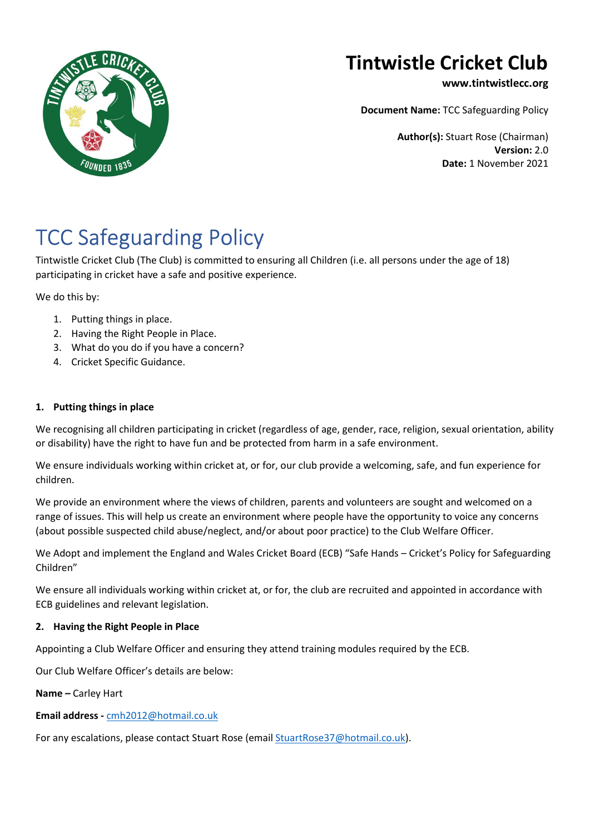

## Tintwistle Cricket Club

www.tintwistlecc.org

Document Name: TCC Safeguarding Policy

Author(s): Stuart Rose (Chairman) Version: 2.0 Date: 1 November 2021

# TCC Safeguarding Policy

Tintwistle Cricket Club (The Club) is committed to ensuring all Children (i.e. all persons under the age of 18) participating in cricket have a safe and positive experience.

We do this by:

- 1. Putting things in place.
- 2. Having the Right People in Place.
- 3. What do you do if you have a concern?
- 4. Cricket Specific Guidance.

### 1. Putting things in place

We recognising all children participating in cricket (regardless of age, gender, race, religion, sexual orientation, ability or disability) have the right to have fun and be protected from harm in a safe environment.

We ensure individuals working within cricket at, or for, our club provide a welcoming, safe, and fun experience for children.

We provide an environment where the views of children, parents and volunteers are sought and welcomed on a range of issues. This will help us create an environment where people have the opportunity to voice any concerns (about possible suspected child abuse/neglect, and/or about poor practice) to the Club Welfare Officer.

We Adopt and implement the England and Wales Cricket Board (ECB) "Safe Hands – Cricket's Policy for Safeguarding Children"

We ensure all individuals working within cricket at, or for, the club are recruited and appointed in accordance with ECB guidelines and relevant legislation.

### 2. Having the Right People in Place

Appointing a Club Welfare Officer and ensuring they attend training modules required by the ECB.

Our Club Welfare Officer's details are below:

Name – Carley Hart

#### Email address - cmh2012@hotmail.co.uk

For any escalations, please contact Stuart Rose (email StuartRose37@hotmail.co.uk).